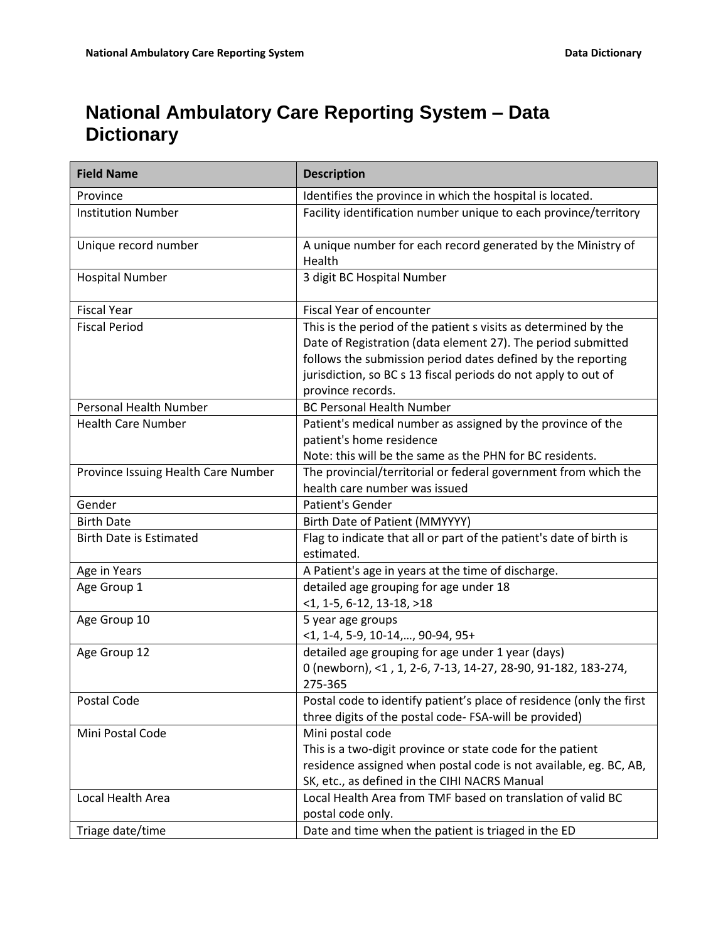## **National Ambulatory Care Reporting System – Data Dictionary**

| <b>Field Name</b>                   | <b>Description</b>                                                                                                                                                                                                                                                                     |
|-------------------------------------|----------------------------------------------------------------------------------------------------------------------------------------------------------------------------------------------------------------------------------------------------------------------------------------|
| Province                            | Identifies the province in which the hospital is located.                                                                                                                                                                                                                              |
| <b>Institution Number</b>           | Facility identification number unique to each province/territory                                                                                                                                                                                                                       |
| Unique record number                | A unique number for each record generated by the Ministry of<br>Health                                                                                                                                                                                                                 |
| <b>Hospital Number</b>              | 3 digit BC Hospital Number                                                                                                                                                                                                                                                             |
| <b>Fiscal Year</b>                  | Fiscal Year of encounter                                                                                                                                                                                                                                                               |
| <b>Fiscal Period</b>                | This is the period of the patient s visits as determined by the<br>Date of Registration (data element 27). The period submitted<br>follows the submission period dates defined by the reporting<br>jurisdiction, so BC s 13 fiscal periods do not apply to out of<br>province records. |
| <b>Personal Health Number</b>       | <b>BC Personal Health Number</b>                                                                                                                                                                                                                                                       |
| <b>Health Care Number</b>           | Patient's medical number as assigned by the province of the<br>patient's home residence<br>Note: this will be the same as the PHN for BC residents.                                                                                                                                    |
| Province Issuing Health Care Number | The provincial/territorial or federal government from which the<br>health care number was issued                                                                                                                                                                                       |
| Gender                              | Patient's Gender                                                                                                                                                                                                                                                                       |
| <b>Birth Date</b>                   | Birth Date of Patient (MMYYYY)                                                                                                                                                                                                                                                         |
| <b>Birth Date is Estimated</b>      | Flag to indicate that all or part of the patient's date of birth is<br>estimated.                                                                                                                                                                                                      |
| Age in Years                        | A Patient's age in years at the time of discharge.                                                                                                                                                                                                                                     |
| Age Group 1                         | detailed age grouping for age under 18<br>$<$ 1, 1-5, 6-12, 13-18, >18                                                                                                                                                                                                                 |
| Age Group 10                        | 5 year age groups<br>$<$ 1, 1-4, 5-9, 10-14,, 90-94, 95+                                                                                                                                                                                                                               |
| Age Group 12                        | detailed age grouping for age under 1 year (days)<br>0 (newborn), <1, 1, 2-6, 7-13, 14-27, 28-90, 91-182, 183-274,<br>275-365                                                                                                                                                          |
| Postal Code                         | Postal code to identify patient's place of residence (only the first<br>three digits of the postal code-FSA-will be provided)                                                                                                                                                          |
| Mini Postal Code                    | Mini postal code<br>This is a two-digit province or state code for the patient<br>residence assigned when postal code is not available, eg. BC, AB,<br>SK, etc., as defined in the CIHI NACRS Manual                                                                                   |
| Local Health Area                   | Local Health Area from TMF based on translation of valid BC<br>postal code only.                                                                                                                                                                                                       |
| Triage date/time                    | Date and time when the patient is triaged in the ED                                                                                                                                                                                                                                    |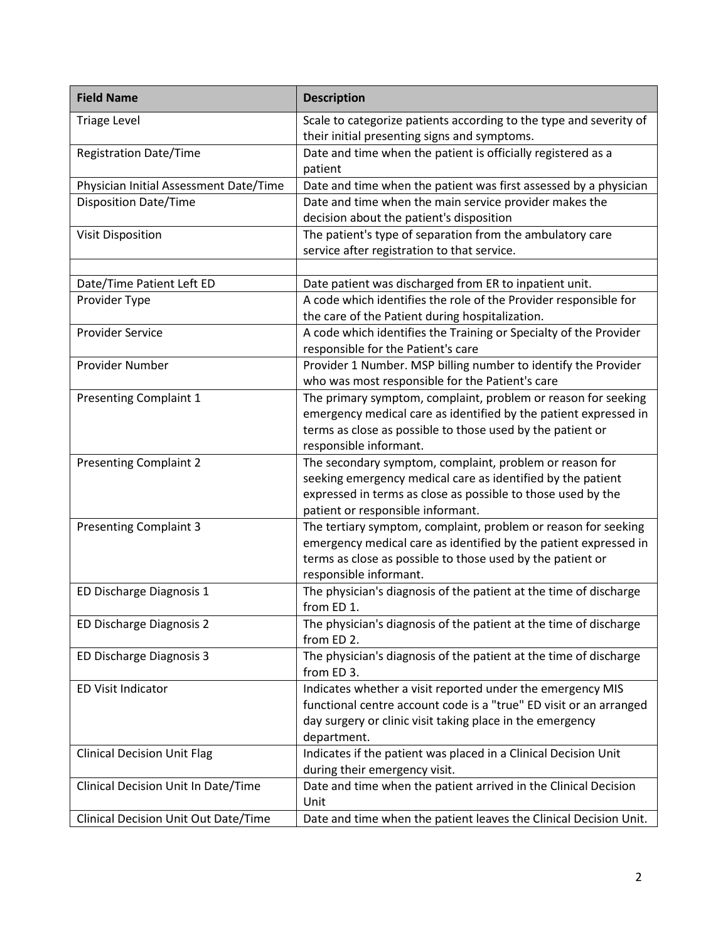| <b>Field Name</b>                      | <b>Description</b>                                                                                                                                                                                                          |
|----------------------------------------|-----------------------------------------------------------------------------------------------------------------------------------------------------------------------------------------------------------------------------|
| <b>Triage Level</b>                    | Scale to categorize patients according to the type and severity of<br>their initial presenting signs and symptoms.                                                                                                          |
| <b>Registration Date/Time</b>          | Date and time when the patient is officially registered as a<br>patient                                                                                                                                                     |
| Physician Initial Assessment Date/Time | Date and time when the patient was first assessed by a physician                                                                                                                                                            |
| <b>Disposition Date/Time</b>           | Date and time when the main service provider makes the<br>decision about the patient's disposition                                                                                                                          |
| <b>Visit Disposition</b>               | The patient's type of separation from the ambulatory care<br>service after registration to that service.                                                                                                                    |
|                                        |                                                                                                                                                                                                                             |
| Date/Time Patient Left ED              | Date patient was discharged from ER to inpatient unit.                                                                                                                                                                      |
| Provider Type                          | A code which identifies the role of the Provider responsible for<br>the care of the Patient during hospitalization.                                                                                                         |
| <b>Provider Service</b>                | A code which identifies the Training or Specialty of the Provider<br>responsible for the Patient's care                                                                                                                     |
| Provider Number                        | Provider 1 Number. MSP billing number to identify the Provider<br>who was most responsible for the Patient's care                                                                                                           |
| <b>Presenting Complaint 1</b>          | The primary symptom, complaint, problem or reason for seeking<br>emergency medical care as identified by the patient expressed in<br>terms as close as possible to those used by the patient or<br>responsible informant.   |
| <b>Presenting Complaint 2</b>          | The secondary symptom, complaint, problem or reason for<br>seeking emergency medical care as identified by the patient<br>expressed in terms as close as possible to those used by the<br>patient or responsible informant. |
| <b>Presenting Complaint 3</b>          | The tertiary symptom, complaint, problem or reason for seeking<br>emergency medical care as identified by the patient expressed in<br>terms as close as possible to those used by the patient or<br>responsible informant.  |
| ED Discharge Diagnosis 1               | The physician's diagnosis of the patient at the time of discharge<br>from ED 1.                                                                                                                                             |
| ED Discharge Diagnosis 2               | The physician's diagnosis of the patient at the time of discharge<br>from ED 2.                                                                                                                                             |
| ED Discharge Diagnosis 3               | The physician's diagnosis of the patient at the time of discharge<br>from ED 3.                                                                                                                                             |
| <b>ED Visit Indicator</b>              | Indicates whether a visit reported under the emergency MIS<br>functional centre account code is a "true" ED visit or an arranged<br>day surgery or clinic visit taking place in the emergency<br>department.                |
| <b>Clinical Decision Unit Flag</b>     | Indicates if the patient was placed in a Clinical Decision Unit<br>during their emergency visit.                                                                                                                            |
| Clinical Decision Unit In Date/Time    | Date and time when the patient arrived in the Clinical Decision<br>Unit                                                                                                                                                     |
| Clinical Decision Unit Out Date/Time   | Date and time when the patient leaves the Clinical Decision Unit.                                                                                                                                                           |